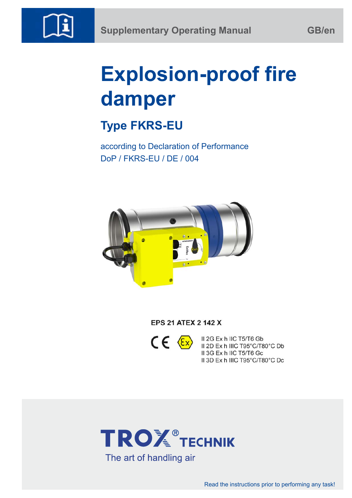

# **Explosion-proof fire damper**

# **Type FKRS-EU**

according to Declaration of Performance DoP / FKRS-EU / DE / 004



**EPS 21 ATEX 2 142 X** 



II 2G Ex h IIC T5/T6 Gb II 2D Ex h IIIC T95°C/T80°C Db II 3G Ex h IIC T5/T6 Gc II 3D Ex h IIIC T95°C/T80°C Dc

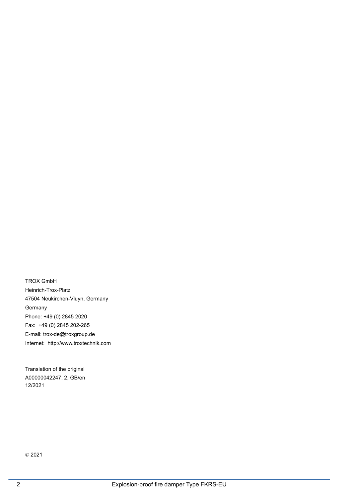TROX GmbH Heinrich-Trox-Platz 47504 Neukirchen-Vluyn, Germany Germany Phone: +49 (0) 2845 2020 Fax: +49 (0) 2845 202-265 E-mail: trox-de@troxgroup.de Internet: http://www.troxtechnik.com

A00000042247, 2, GB/en Translation of the original 12/2021

© 2021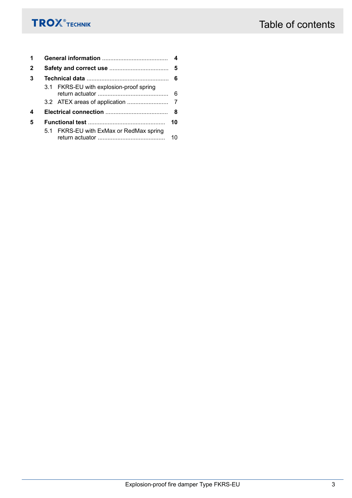| 1            | 4 |                                         |    |  |  |  |
|--------------|---|-----------------------------------------|----|--|--|--|
| $\mathbf{2}$ |   |                                         |    |  |  |  |
| 3            |   |                                         |    |  |  |  |
|              |   | 3.1 FKRS-EU with explosion-proof spring |    |  |  |  |
|              |   |                                         |    |  |  |  |
| 4            |   | - 8                                     |    |  |  |  |
| 5            |   |                                         | 10 |  |  |  |
|              |   | 5.1 FKRS-EU with ExMax or RedMax spring | 10 |  |  |  |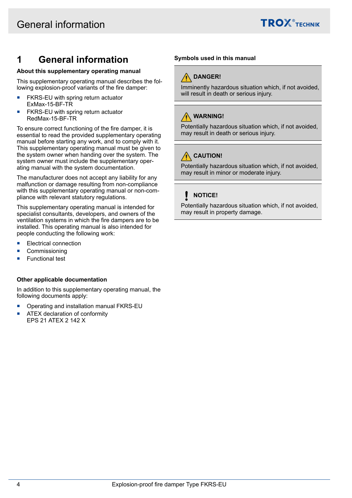

# <span id="page-3-0"></span>**1 General information**

## **About this supplementary operating manual**

This supplementary operating manual describes the following explosion-proof variants of the fire damper:

- FKRS-EU with spring return actuator ExMax-15-BF-TR
- FKRS-EU with spring return actuator RedMax-15-BF-TR

To ensure correct functioning of the fire damper, it is essential to read the provided supplementary operating manual before starting any work, and to comply with it. This supplementary operating manual must be given to the system owner when handing over the system. The system owner must include the supplementary operating manual with the system documentation.

The manufacturer does not accept any liability for any malfunction or damage resulting from non-compliance with this supplementary operating manual or non-compliance with relevant statutory regulations.

This supplementary operating manual is intended for specialist consultants, developers, and owners of the ventilation systems in which the fire dampers are to be installed. This operating manual is also intended for people conducting the following work:

- **Electrical connection**
- **Commissioning**
- Functional test

## **Other applicable documentation**

In addition to this supplementary operating manual, the following documents apply:

- Operating and installation manual FKRS-EU
- **ATEX declaration of conformity** EPS 21 ATEX 2 142 X

## **Symbols used in this manual**



Imminently hazardous situation which, if not avoided, will result in death or serious injury.

## **WARNING!**

Potentially hazardous situation which, if not avoided, may result in death or serious injury.

# **CAUTION!**

Potentially hazardous situation which, if not avoided, may result in minor or moderate injury.

## **NOTICE!**

Potentially hazardous situation which, if not avoided, may result in property damage.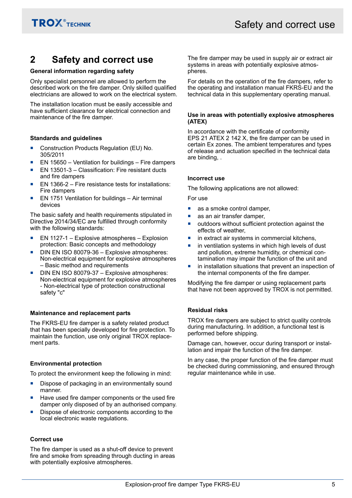# <span id="page-4-0"></span>**2 Safety and correct use**

## **General information regarding safety**

Only specialist personnel are allowed to perform the described work on the fire damper. Only skilled qualified electricians are allowed to work on the electrical system.

The installation location must be easily accessible and have sufficient clearance for electrical connection and maintenance of the fire damper.

## **Standards and guidelines**

- Construction Products Regulation (EU) No. 305/2011
- EN 15650 Ventilation for buildings Fire dampers
- EN 13501-3 Classification: Fire resistant ducts and fire dampers
- EN 1366-2 Fire resistance tests for installations: Fire dampers
- EN 1751 Ventilation for buildings Air terminal devices

The basic safety and health requirements stipulated in Directive 2014/34/EC are fulfilled through conformity with the following standards:

- EN 1127-1 Explosive atmospheres Explosion protection: Basic concepts and methodology
- DIN EN ISO 80079-36 Explosive atmospheres: Non-electrical equipment for explosive atmospheres – Basic method and requirements
- DIN EN ISO 80079-37 Explosive atmospheres: Non-electrical equipment for explosive atmospheres - Non-electrical type of protection constructional safety "c"

## **Maintenance and replacement parts**

The FKRS-EU fire damper is a safety related product that has been specially developed for fire protection. To maintain the function, use only original TROX replacement parts.

## **Environmental protection**

To protect the environment keep the following in mind:

- Dispose of packaging in an environmentally sound manner.
- Have used fire damper components or the used fire damper only disposed of by an authorised company.
- Dispose of electronic components according to the local electronic waste regulations.

## **Correct use**

The fire damper is used as a shut-off device to prevent fire and smoke from spreading through ducting in areas with potentially explosive atmospheres.

The fire damper may be used in supply air or extract air systems in areas with potentially explosive atmospheres.

For details on the operation of the fire dampers, refer to the operating and installation manual FKRS-EU and the technical data in this supplementary operating manual.

#### **Use in areas with potentially explosive atmospheres (ATEX)**

In accordance with the certificate of conformity EPS 21 ATEX 2 142 X, the fire damper can be used in certain Ex zones. The ambient temperatures and types of release and actuation specified in the technical data are binding, .

## **Incorrect use**

The following applications are not allowed:

For use

- as a smoke control damper,
- as an air transfer damper,
- outdoors without sufficient protection against the effects of weather,
- $\blacksquare$  in extract air systems in commercial kitchens,
- in ventilation systems in which high levels of dust and pollution, extreme humidity, or chemical contamination may impair the function of the unit and
- **net in installation situations that prevent an inspection of** the internal components of the fire damper.

Modifying the fire damper or using replacement parts that have not been approved by TROX is not permitted.

## **Residual risks**

TROX fire dampers are subject to strict quality controls during manufacturing. In addition, a functional test is performed before shipping.

Damage can, however, occur during transport or installation and impair the function of the fire damper.

In any case, the proper function of the fire damper must be checked during commissioning, and ensured through regular maintenance while in use.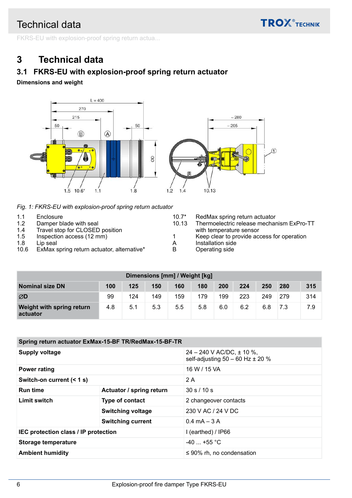**TROX**<sup>®</sup>TECHNIK

<span id="page-5-0"></span>FKRS-EU with explosion-proof spring return actua...

# **3 Technical data**

# **3.1 FKRS-EU with explosion-proof spring return actuator**

**Dimensions and weight**



*Fig. 1: FKRS-EU with explosion-proof spring return actuator*

| 1.1  | Enclosure                                  | $10.7*$ | RedMax spring return actuator              |
|------|--------------------------------------------|---------|--------------------------------------------|
| 1.2  | Damper blade with seal                     | 10.13   | Thermoelectric release mechanism ExPro-TT  |
| 1.4  | Travel stop for CLOSED position            |         | with temperature sensor                    |
| 1.5  | Inspection access (12 mm)                  |         | Keep clear to provide access for operation |
| 1.8  | Lip seal                                   | А       | Installation side                          |
| 10.6 | ExMax spring return actuator, alternative* | B       | Operating side                             |
|      |                                            |         |                                            |

| Dimensions [mm] / Weight [kg]         |     |     |     |     |     |     |     |     |     |     |
|---------------------------------------|-----|-----|-----|-----|-----|-----|-----|-----|-----|-----|
| <b>Nominal size DN</b>                | 100 | 125 | 150 | 160 | 180 | 200 | 224 | 250 | 280 | 315 |
| ØD                                    | 99  | 124 | 149 | 159 | 179 | 199 | 223 | 249 | 279 | 314 |
| Weight with spring return<br>actuator | 4.8 | 5.1 | 5.3 | 5.5 | 5.8 | 6.0 | 6.2 | 6.8 | 7.3 | 7.9 |

| Spring return actuator ExMax-15-BF TR/RedMax-15-BF-TR |                          |                                                                           |  |  |  |  |
|-------------------------------------------------------|--------------------------|---------------------------------------------------------------------------|--|--|--|--|
| Supply voltage                                        |                          | $24 - 240$ V AC/DC, $\pm$ 10 %,<br>self-adjusting $50 - 60$ Hz $\pm 20$ % |  |  |  |  |
| <b>Power rating</b>                                   |                          | 16 W / 15 VA                                                              |  |  |  |  |
| Switch-on current (< 1 s)                             |                          | 2 A                                                                       |  |  |  |  |
| <b>Run time</b>                                       | Actuator / spring return | 30 s / 10 s                                                               |  |  |  |  |
| Limit switch                                          | Type of contact          | 2 changeover contacts                                                     |  |  |  |  |
|                                                       | <b>Switching voltage</b> | 230 V AC / 24 V DC                                                        |  |  |  |  |
|                                                       | <b>Switching current</b> | $0.4 \text{ mA} - 3 \text{ A}$                                            |  |  |  |  |
| IEC protection class / IP protection                  |                          | I (earthed) / IP66                                                        |  |  |  |  |
| <b>Storage temperature</b>                            |                          | $-40$ +55 °C                                                              |  |  |  |  |
| <b>Ambient humidity</b>                               |                          | $\leq 90\%$ rh, no condensation                                           |  |  |  |  |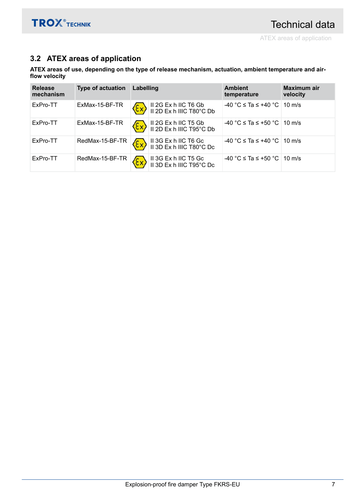# <span id="page-6-0"></span>**3.2 ATEX areas of application**

**ATEX areas of use, depending on the type of release mechanism, actuation, ambient temperature and airflow velocity**

| <b>Release</b><br>mechanism | <b>Type of actuation</b> | Labelling |                                                                                                                     | <b>Ambient</b><br>temperature             | <b>Maximum air</b><br>velocity |
|-----------------------------|--------------------------|-----------|---------------------------------------------------------------------------------------------------------------------|-------------------------------------------|--------------------------------|
| ExPro-TT                    | ExMax-15-BF-TR           |           | Ex II 2G Ex h IIC T6 Gb<br>II 2D Ex h IIIC T80°C Db                                                                 | -40 °C ≤ Ta ≤ +40 °C   10 m/s             |                                |
| ExPro-TT                    | ExMax-15-BF-TR           |           | $\langle \xi \chi \rangle$ II 2G Ex h IIC T5 Gb<br>II 2D Ex h IIIC T95°C Db                                         | -40 °C ≤ Ta ≤ +50 °C   10 m/s             |                                |
| ExPro-TT                    |                          |           | RedMax-15-BF-TR $\langle \overleftrightarrow{\xi x} \rangle$ II 3G Ex h IIC T6 Gc<br>II 3D Ex h IIIC T80°C Dc       | $-40$ °C $\leq$ Ta $\leq$ +40 °C   10 m/s |                                |
| ExPro-TT                    |                          |           | RedMax-15-BF-TR $\langle \overleftrightarrow{\mathsf{Ex}} \rangle$ II 3G Ex h IIC T5 Gc<br>II 3D Ex h IIIC T95°C Dc | -40 °C ≤ Ta ≤ +50 °C   10 m/s             |                                |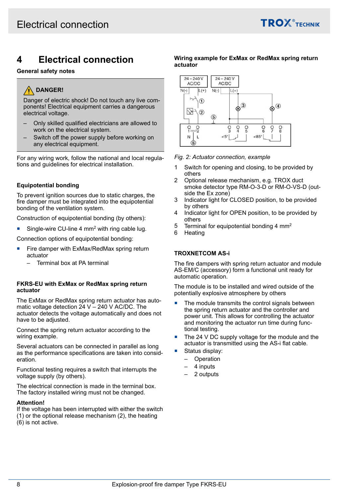

# <span id="page-7-0"></span>**4 Electrical connection**

#### **General safety notes**

## **DANGER!**

Danger of electric shock! Do not touch any live components! Electrical equipment carries a dangerous electrical voltage.

- Only skilled qualified electricians are allowed to work on the electrical system.
- Switch off the power supply before working on any electrical equipment.

For any wiring work, follow the national and local regulations and guidelines for electrical installation.

## **Equipotential bonding**

To prevent ignition sources due to static charges, the fire damper must be integrated into the equipotential bonding of the ventilation system.

Construction of equipotential bonding (by others):

Single-wire CU-line 4 mm<sup>2</sup> with ring cable lug.

Connection options of equipotential bonding:

- Fire damper with ExMax/RedMax spring return actuator
	- Terminal box at PA terminal

#### **FKRS-EU with ExMax or RedMax spring return actuator**

The ExMax or RedMax spring return actuator has automatic voltage detection  $24$  V – 240 V AC/DC. The actuator detects the voltage automatically and does not have to be adjusted.

Connect the spring return actuator according to the wiring example.

Several actuators can be connected in parallel as long as the performance specifications are taken into consideration.

Functional testing requires a switch that interrupts the voltage supply (by others).

The electrical connection is made in the terminal box. The factory installed wiring must not be changed.

#### **Attention!**

If the voltage has been interrupted with either the switch (1) or the optional release mechanism (2), the heating

(6) is not active.

## **Wiring example for ExMax or RedMax spring return actuator**



*Fig. 2: Actuator connection, example*

- 1 Switch for opening and closing, to be provided by others
- 2 Optional release mechanism, e.g. TROX duct smoke detector type RM-O-3-D or RM-O-VS-D (outside the Ex zone)
- 3 Indicator light for CLOSED position, to be provided by others
- 4 Indicator light for OPEN position, to be provided by others
- 5 Terminal for equipotential bonding 4 mm<sup>2</sup>
- 6 Heating

#### **TROXNETCOM AS-i**

The fire dampers with spring return actuator and module AS-EM/C (accessory) form a functional unit ready for automatic operation.

The module is to be installed and wired outside of the potentially explosive atmosphere by others

- The module transmits the control signals between the spring return actuator and the controller and power unit. This allows for controlling the actuator and monitoring the actuator run time during functional testing.
- The 24 V DC supply voltage for the module and the actuator is transmitted using the AS-i flat cable.
- Status display:
	- **Operation**
	- 4 inputs
	- 2 outputs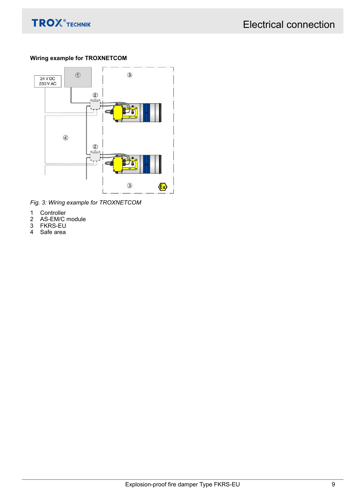

## **Wiring example for TROXNETCOM**



*Fig. 3: Wiring example for TROXNETCOM*

- 
- 1 Controller<br>2 AS-EM/C<br>3 FKRS-EU<br>4 Safe area **2010 Older**<br>AS-EM/C module
- **FKRS-EU**
- Safe area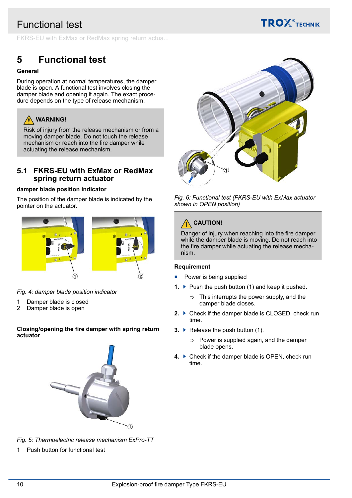# <span id="page-9-0"></span>Functional test



FKRS-EU with ExMax or RedMax spring return actua...

# **5 Functional test**

## **General**

During operation at normal temperatures, the damper blade is open. A functional test involves closing the damper blade and opening it again. The exact procedure depends on the type of release mechanism.



Risk of injury from the release mechanism or from a moving damper blade. Do not touch the release mechanism or reach into the fire damper while actuating the release mechanism.

## **5.1 FKRS-EU with ExMax or RedMax spring return actuator**

## **damper blade position indicator**

The position of the damper blade is indicated by the pointer on the actuator.



*Fig. 4: damper blade position indicator*

- 1 Damper blade is closed
- 2 Damper blade is open

## **Closing/opening the fire damper with spring return actuator**





1 Push button for functional test



## *Fig. 6: Functional test (FKRS-EU with ExMax actuator shown in OPEN position)*

# **CAUTION!**

Danger of injury when reaching into the fire damper while the damper blade is moving. Do not reach into the fire damper while actuating the release mechanism.

## **Requirement**

- $\blacksquare$  Power is being supplied
- **1.** ▶ Push the push button (1) and keep it pushed.
	- $\Rightarrow$  This interrupts the power supply, and the damper blade closes.
- **2. ▶ Check if the damper blade is CLOSED, check run** time.
- **3. ▶ Release the push button (1).** 
	- $\Rightarrow$  Power is supplied again, and the damper blade opens.
- **4.** ▶ Check if the damper blade is OPEN, check run time.